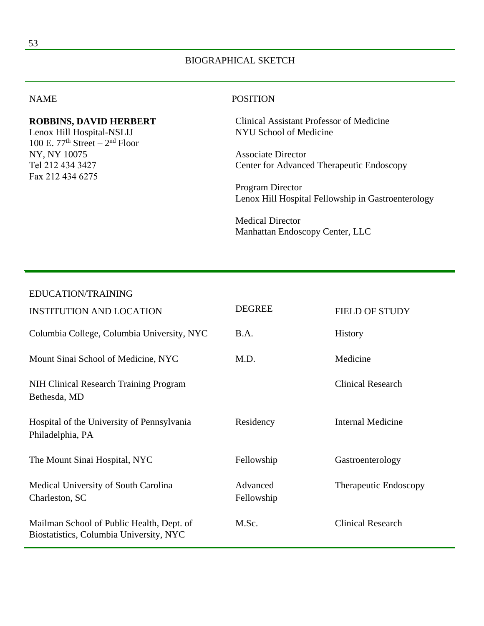### BIOGRAPHICAL SKETCH

#### NAME

#### **ROBBINS, DAVID HERBERT**

Lenox Hill Hospital-NSLIJ 100 E.  $77<sup>th</sup> Street - 2<sup>nd</sup> Floor$ NY, NY 10075 Tel 212 434 3427 Fax 212 434 6275

#### **POSITION**

Clinical Assistant Professor of Medicine NYU School of Medicine

Associate Director Center for Advanced Therapeutic Endoscopy

Program Director Lenox Hill Hospital Fellowship in Gastroenterology

Medical Director Manhattan Endoscopy Center, LLC

#### EDUCATION/TRAINING

| <b>INSTITUTION AND LOCATION</b>                                                      | <b>DEGREE</b>          | <b>FIELD OF STUDY</b>    |
|--------------------------------------------------------------------------------------|------------------------|--------------------------|
| Columbia College, Columbia University, NYC                                           | B.A.                   | <b>History</b>           |
| Mount Sinai School of Medicine, NYC                                                  | M.D.                   | Medicine                 |
| NIH Clinical Research Training Program<br>Bethesda, MD                               |                        | <b>Clinical Research</b> |
| Hospital of the University of Pennsylvania<br>Philadelphia, PA                       | Residency              | <b>Internal Medicine</b> |
| The Mount Sinai Hospital, NYC                                                        | Fellowship             | Gastroenterology         |
| Medical University of South Carolina<br>Charleston, SC                               | Advanced<br>Fellowship | Therapeutic Endoscopy    |
| Mailman School of Public Health, Dept. of<br>Biostatistics, Columbia University, NYC | M.Sc.                  | <b>Clinical Research</b> |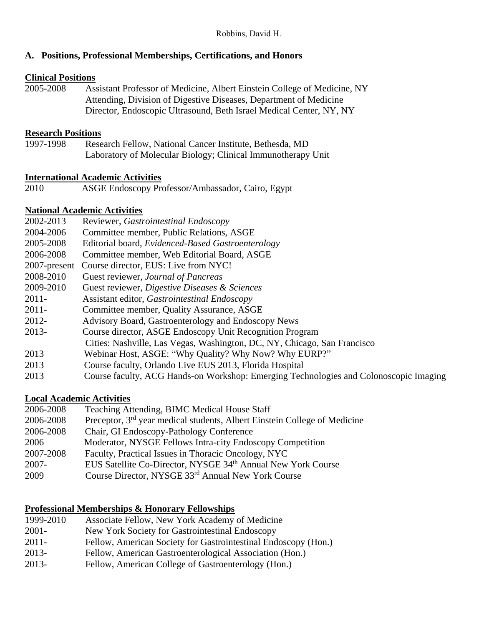### **A. Positions, Professional Memberships, Certifications, and Honors**

### **Clinical Positions**

2005-2008 Assistant Professor of Medicine, Albert Einstein College of Medicine, NY Attending, Division of Digestive Diseases, Department of Medicine Director, Endoscopic Ultrasound, Beth Israel Medical Center, NY, NY

### **Research Positions**

1997-1998 Research Fellow, National Cancer Institute, Bethesda, MD Laboratory of Molecular Biology; Clinical Immunotherapy Unit

### **International Academic Activities**

2010 ASGE Endoscopy Professor/Ambassador, Cairo, Egypt

### **National Academic Activities**

- 2002-2013 Reviewer, *Gastrointestinal Endoscopy*
- 2004-2006 Committee member, Public Relations, ASGE
- 2005-2008 Editorial board, *Evidenced-Based Gastroenterology*
- 2006-2008 Committee member, Web Editorial Board, ASGE
- 2007-present Course director, EUS: Live from NYC!
- 2008-2010 Guest reviewer, *Journal of Pancreas*
- 2009-2010 Guest reviewer, *Digestive Diseases & Sciences*
- 2011- Assistant editor, *Gastrointestinal Endoscopy*
- 2011- Committee member, Quality Assurance, ASGE
- 2012- Advisory Board, Gastroenterology and Endoscopy News
- 2013- Course director, ASGE Endoscopy Unit Recognition Program
	- Cities: Nashville, Las Vegas, Washington, DC, NY, Chicago, San Francisco
- 2013 Webinar Host, ASGE: "Why Quality? Why Now? Why EURP?"
- 2013 Course faculty, Orlando Live EUS 2013, Florida Hospital
- 2013 Course faculty, ACG Hands-on Workshop: Emerging Technologies and Colonoscopic Imaging

# **Local Academic Activities**

2006-2008 Teaching Attending, BIMC Medical House Staff 2006-2008 Preceptor, 3rd year medical students, Albert Einstein College of Medicine 2006-2008 Chair, GI Endoscopy-Pathology Conference 2006 Moderator, NYSGE Fellows Intra-city Endoscopy Competition 2007-2008 Faculty, Practical Issues in Thoracic Oncology, NYC 2007- EUS Satellite Co-Director, NYSGE 34th Annual New York Course 2009 Course Director, NYSGE 33rd Annual New York Course

## **Professional Memberships & Honorary Fellowships**

1999-2010 Associate Fellow, New York Academy of Medicine 2001- New York Society for Gastrointestinal Endoscopy 2011- Fellow, American Society for Gastrointestinal Endoscopy (Hon.) 2013- Fellow, American Gastroenterological Association (Hon.) 2013- Fellow, American College of Gastroenterology (Hon.)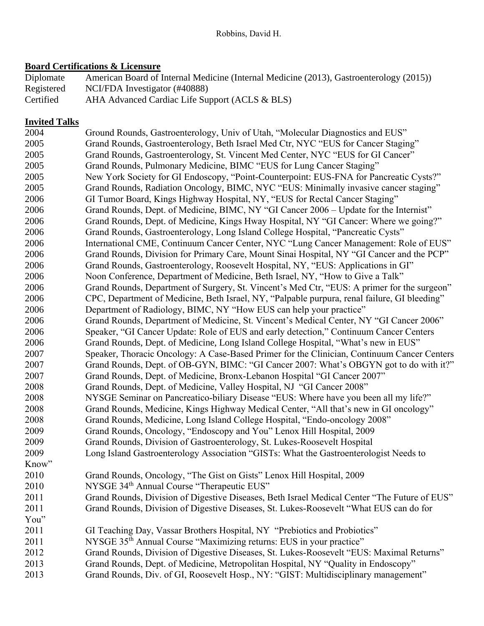# **Board Certifications & Licensure**

| Diplomate  | American Board of Internal Medicine (Internal Medicine (2013), Gastroenterology (2015)) |
|------------|-----------------------------------------------------------------------------------------|
| Registered | NCI/FDA Investigator (#40888)                                                           |
| Certified  | AHA Advanced Cardiac Life Support (ACLS & BLS)                                          |

## **Invited Talks**

| 2004  | Ground Rounds, Gastroenterology, Univ of Utah, "Molecular Diagnostics and EUS"               |
|-------|----------------------------------------------------------------------------------------------|
| 2005  | Grand Rounds, Gastroenterology, Beth Israel Med Ctr, NYC "EUS for Cancer Staging"            |
| 2005  | Grand Rounds, Gastroenterology, St. Vincent Med Center, NYC "EUS for GI Cancer"              |
| 2005  | Grand Rounds, Pulmonary Medicine, BIMC "EUS for Lung Cancer Staging"                         |
| 2005  | New York Society for GI Endoscopy, "Point-Counterpoint: EUS-FNA for Pancreatic Cysts?"       |
| 2005  | Grand Rounds, Radiation Oncology, BIMC, NYC "EUS: Minimally invasive cancer staging"         |
| 2006  | GI Tumor Board, Kings Highway Hospital, NY, "EUS for Rectal Cancer Staging"                  |
| 2006  | Grand Rounds, Dept. of Medicine, BIMC, NY "GI Cancer 2006 – Update for the Internist"        |
| 2006  | Grand Rounds, Dept. of Medicine, Kings Hway Hospital, NY "GI Cancer: Where we going?"        |
| 2006  | Grand Rounds, Gastroenterology, Long Island College Hospital, "Pancreatic Cysts"             |
| 2006  | International CME, Continuum Cancer Center, NYC "Lung Cancer Management: Role of EUS"        |
| 2006  | Grand Rounds, Division for Primary Care, Mount Sinai Hospital, NY "GI Cancer and the PCP"    |
| 2006  | Grand Rounds, Gastroenterology, Roosevelt Hospital, NY, "EUS: Applications in GI"            |
| 2006  | Noon Conference, Department of Medicine, Beth Israel, NY, "How to Give a Talk"               |
| 2006  | Grand Rounds, Department of Surgery, St. Vincent's Med Ctr, "EUS: A primer for the surgeon"  |
| 2006  | CPC, Department of Medicine, Beth Israel, NY, "Palpable purpura, renal failure, GI bleeding" |
| 2006  | Department of Radiology, BIMC, NY "How EUS can help your practice"                           |
| 2006  | Grand Rounds, Department of Medicine, St. Vincent's Medical Center, NY "GI Cancer 2006"      |
| 2006  | Speaker, "GI Cancer Update: Role of EUS and early detection," Continuum Cancer Centers       |
| 2006  | Grand Rounds, Dept. of Medicine, Long Island College Hospital, "What's new in EUS"           |
| 2007  | Speaker, Thoracic Oncology: A Case-Based Primer for the Clinician, Continuum Cancer Centers  |
| 2007  | Grand Rounds, Dept. of OB-GYN, BIMC: "GI Cancer 2007: What's OBGYN got to do with it?"       |
| 2007  | Grand Rounds, Dept. of Medicine, Bronx-Lebanon Hospital "GI Cancer 2007"                     |
| 2008  | Grand Rounds, Dept. of Medicine, Valley Hospital, NJ "GI Cancer 2008"                        |
| 2008  | NYSGE Seminar on Pancreatico-biliary Disease "EUS: Where have you been all my life?"         |
| 2008  | Grand Rounds, Medicine, Kings Highway Medical Center, "All that's new in GI oncology"        |
| 2008  | Grand Rounds, Medicine, Long Island College Hospital, "Endo-oncology 2008"                   |
| 2009  | Grand Rounds, Oncology, "Endoscopy and You" Lenox Hill Hospital, 2009                        |
| 2009  | Grand Rounds, Division of Gastroenterology, St. Lukes-Roosevelt Hospital                     |
| 2009  | Long Island Gastroenterology Association "GISTs: What the Gastroenterologist Needs to        |
| Know" |                                                                                              |
| 2010  | Grand Rounds, Oncology, "The Gist on Gists" Lenox Hill Hospital, 2009                        |
| 2010  | NYSGE 34th Annual Course "Therapeutic EUS"                                                   |
| 2011  | Grand Rounds, Division of Digestive Diseases, Beth Israel Medical Center "The Future of EUS" |
| 2011  | Grand Rounds, Division of Digestive Diseases, St. Lukes-Roosevelt "What EUS can do for       |
| You"  |                                                                                              |
| 2011  | GI Teaching Day, Vassar Brothers Hospital, NY "Prebiotics and Probiotics"                    |
| 2011  | NYSGE 35 <sup>th</sup> Annual Course "Maximizing returns: EUS in your practice"              |
| 2012  | Grand Rounds, Division of Digestive Diseases, St. Lukes-Roosevelt "EUS: Maximal Returns"     |
| 2013  | Grand Rounds, Dept. of Medicine, Metropolitan Hospital, NY "Quality in Endoscopy"            |
| 2013  | Grand Rounds, Div. of GI, Roosevelt Hosp., NY: "GIST: Multidisciplinary management"          |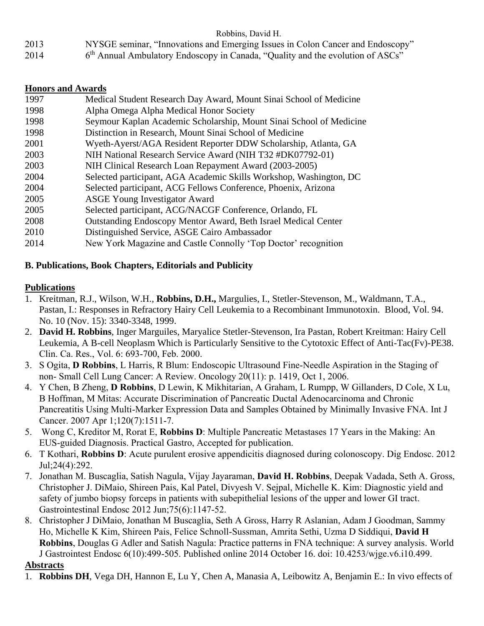- 2013 NYSGE seminar, "Innovations and Emerging Issues in Colon Cancer and Endoscopy"
- 2014  $6<sup>th</sup>$  Annual Ambulatory Endoscopy in Canada, "Quality and the evolution of ASCs"

## **Honors and Awards**

| 1997 | Medical Student Research Day Award, Mount Sinai School of Medicine    |
|------|-----------------------------------------------------------------------|
| 1998 | Alpha Omega Alpha Medical Honor Society                               |
| 1998 | Seymour Kaplan Academic Scholarship, Mount Sinai School of Medicine   |
| 1998 | Distinction in Research, Mount Sinai School of Medicine               |
| 2001 | Wyeth-Ayerst/AGA Resident Reporter DDW Scholarship, Atlanta, GA       |
| 2003 | NIH National Research Service Award (NIH T32 #DK07792-01)             |
| 2003 | NIH Clinical Research Loan Repayment Award (2003-2005)                |
| 2004 | Selected participant, AGA Academic Skills Workshop, Washington, DC    |
| 2004 | Selected participant, ACG Fellows Conference, Phoenix, Arizona        |
| 2005 | <b>ASGE Young Investigator Award</b>                                  |
| 2005 | Selected participant, ACG/NACGF Conference, Orlando, FL               |
| 2008 | <b>Outstanding Endoscopy Mentor Award, Beth Israel Medical Center</b> |
| 2010 | Distinguished Service, ASGE Cairo Ambassador                          |
| 2014 | New York Magazine and Castle Connolly 'Top Doctor' recognition        |

## **B. Publications, Book Chapters, Editorials and Publicity**

### **Publications**

- 1. Kreitman, R.J., Wilson, W.H., **Robbins, D.H.,** Margulies, I., Stetler-Stevenson, M., Waldmann, T.A., Pastan, I.: Responses in Refractory Hairy Cell Leukemia to a Recombinant Immunotoxin. Blood, Vol. 94. No. 10 (Nov. 15): 3340-3348, 1999.
- 2. **David H. Robbins**, Inger Marguiles, Maryalice Stetler-Stevenson, Ira Pastan, Robert Kreitman: Hairy Cell Leukemia, A B-cell Neoplasm Which is Particularly Sensitive to the Cytotoxic Effect of Anti-Tac(Fv)-PE38. Clin. Ca. Res., Vol. 6: 693-700, Feb. 2000.
- 3. S Ogita, **D Robbins**, L Harris, R Blum: Endoscopic Ultrasound Fine-Needle Aspiration in the Staging of non- Small Cell Lung Cancer: A Review. Oncology 20(11): p. 1419, Oct 1, 2006.
- 4. Y Chen, B Zheng, **D Robbins**, D Lewin, K Mikhitarian, A Graham, L Rumpp, W Gillanders, D Cole, X Lu, B Hoffman, M Mitas: Accurate Discrimination of Pancreatic Ductal Adenocarcinoma and Chronic Pancreatitis Using Multi-Marker Expression Data and Samples Obtained by Minimally Invasive FNA. Int J Cancer. 2007 Apr 1;120(7):1511-7.
- 5. Wong C, Kreditor M, Rorat E, **Robbins D**: Multiple Pancreatic Metastases 17 Years in the Making: An EUS-guided Diagnosis. Practical Gastro, Accepted for publication.
- 6. T Kothari, **Robbins D**: Acute purulent erosive appendicitis diagnosed during colonoscopy. Dig Endosc. 2012 Jul;24(4):292.
- 7. Jonathan M. Buscaglia, Satish Nagula, Vijay Jayaraman, **David H. Robbins**, Deepak Vadada, Seth A. Gross, Christopher J. DiMaio, Shireen Pais, Kal Patel, Divyesh V. Sejpal, Michelle K. Kim: Diagnostic yield and safety of jumbo biopsy forceps in patients with subepithelial lesions of the upper and lower GI tract. Gastrointestinal Endosc 2012 Jun;75(6):1147-52.
- 8. Christopher J DiMaio, Jonathan M Buscaglia, Seth A Gross, Harry R Aslanian, Adam J Goodman, Sammy Ho, Michelle K Kim, Shireen Pais, Felice Schnoll-Sussman, Amrita Sethi, Uzma D Siddiqui, **David H Robbins**, Douglas G Adler and Satish Nagula: Practice patterns in FNA technique: A survey analysis. World J Gastrointest Endosc 6(10):499-505. Published online 2014 October 16. doi: 10.4253/wjge.v6.i10.499.

## **Abstracts**

1. **Robbins DH**, Vega DH, Hannon E, Lu Y, Chen A, Manasia A, Leibowitz A, Benjamin E.: In vivo effects of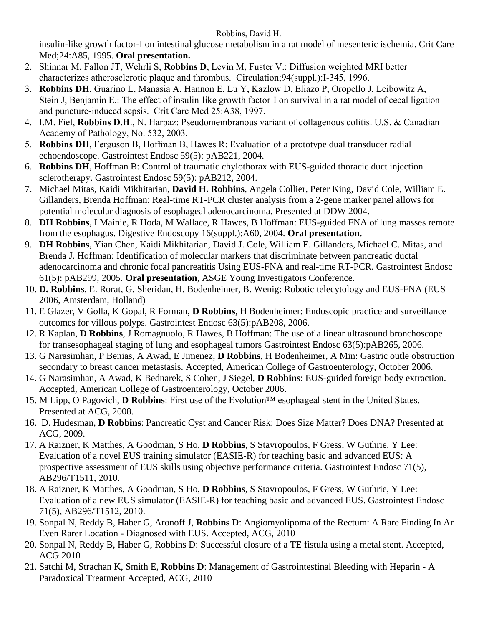insulin-like growth factor-I on intestinal glucose metabolism in a rat model of mesenteric ischemia. Crit Care Med;24:A85, 1995. **Oral presentation.**

- 2. Shinnar M, Fallon JT, Wehrli S, **Robbins D**, Levin M, Fuster V.: Diffusion weighted MRI better characterizes atherosclerotic plaque and thrombus. Circulation;94(suppl.):I-345, 1996.
- 3. **Robbins DH**, Guarino L, Manasia A, Hannon E, Lu Y, Kazlow D, Eliazo P, Oropello J, Leibowitz A, Stein J, Benjamin E.: The effect of insulin-like growth factor-I on survival in a rat model of cecal ligation and puncture-induced sepsis. Crit Care Med 25:A38, 1997.
- 4. I.M. Fiel, **Robbins D.H**., N. Harpaz: Pseudomembranous variant of collagenous colitis. U.S. & Canadian Academy of Pathology, No. 532, 2003*.*
- 5*.* **Robbins DH**, Ferguson B, Hoffman B, Hawes R: Evaluation of a prototype dual transducer radial echoendoscope. Gastrointest Endosc 59(5): pAB221, 2004.
- 6. **Robbins DH**, Hoffman B: Control of traumatic chylothorax with EUS-guided thoracic duct injection sclerotherapy. Gastrointest Endosc 59(5): pAB212, 2004.
- 7. Michael Mitas, Kaidi Mikhitarian, **David H. Robbins**, Angela Collier, Peter King, David Cole, William E. Gillanders, Brenda Hoffman: Real-time RT-PCR cluster analysis from a 2-gene marker panel allows for potential molecular diagnosis of esophageal adenocarcinoma. Presented at DDW 2004.
- 8. **DH Robbins**, I Mainie, R Hoda, M Wallace, R Hawes, B Hoffman: EUS-guided FNA of lung masses remote from the esophagus. Digestive Endoscopy 16(suppl.):A60, 2004. **Oral presentation.**
- 9. **DH Robbins**, Yian Chen, Kaidi Mikhitarian, David J. Cole, William E. Gillanders, Michael C. Mitas, and Brenda J. Hoffman: Identification of molecular markers that discriminate between pancreatic ductal adenocarcinoma and chronic focal pancreatitis Using EUS-FNA and real-time RT-PCR. Gastrointest Endosc 61(5): pAB299, 2005*.* **Oral presentation**, ASGE Young Investigators Conference.
- 10. **D. Robbins**, E. Rorat, G. Sheridan, H. Bodenheimer, B. Wenig: Robotic telecytology and EUS-FNA (EUS 2006, Amsterdam, Holland)
- 11. E Glazer, V Golla, K Gopal, R Forman, **D Robbins**, H Bodenheimer: Endoscopic practice and surveillance outcomes for villous polyps. Gastrointest Endosc 63(5):pAB208, 2006.
- 12. R Kaplan, **D Robbins**, J Romagnuolo, R Hawes, B Hoffman: The use of a linear ultrasound bronchoscope for transesophageal staging of lung and esophageal tumors Gastrointest Endosc 63(5):pAB265, 2006.
- 13. G Narasimhan, P Benias, A Awad, E Jimenez, **D Robbins**, H Bodenheimer, A Min: Gastric outle obstruction secondary to breast cancer metastasis. Accepted, American College of Gastroenterology, October 2006.
- 14. G Narasimhan, A Awad, K Bednarek, S Cohen, J Siegel, **D Robbins**: EUS-guided foreign body extraction. Accepted, American College of Gastroenterology, October 2006.
- 15. M Lipp, O Pagovich, **D Robbins**: First use of the Evolution™ esophageal stent in the United States. Presented at ACG, 2008.
- 16. D. Hudesman, **D Robbins**: Pancreatic Cyst and Cancer Risk: Does Size Matter? Does DNA? Presented at ACG, 2009.
- 17. A Raizner, K Matthes, A Goodman, S Ho, **D Robbins**, S Stavropoulos, F Gress, W Guthrie, Y Lee: Evaluation of a novel EUS training simulator (EASIE-R) for teaching basic and advanced EUS: A prospective assessment of EUS skills using objective performance criteria. Gastrointest Endosc 71(5), AB296/T1511, 2010.
- 18. A Raizner, K Matthes, A Goodman, S Ho, **D Robbins**, S Stavropoulos, F Gress, W Guthrie, Y Lee: Evaluation of a new EUS simulator (EASIE-R) for teaching basic and advanced EUS. Gastrointest Endosc 71(5), AB296/T1512, 2010.
- 19. Sonpal N, Reddy B, Haber G, Aronoff J, **Robbins D**: Angiomyolipoma of the Rectum: A Rare Finding In An Even Rarer Location - Diagnosed with EUS. Accepted, ACG, 2010
- 20. Sonpal N, Reddy B, Haber G, Robbins D: Successful closure of a TE fistula using a metal stent. Accepted, ACG 2010
- 21. Satchi M, Strachan K, Smith E, **Robbins D**: Management of Gastrointestinal Bleeding with Heparin A Paradoxical Treatment Accepted, ACG, 2010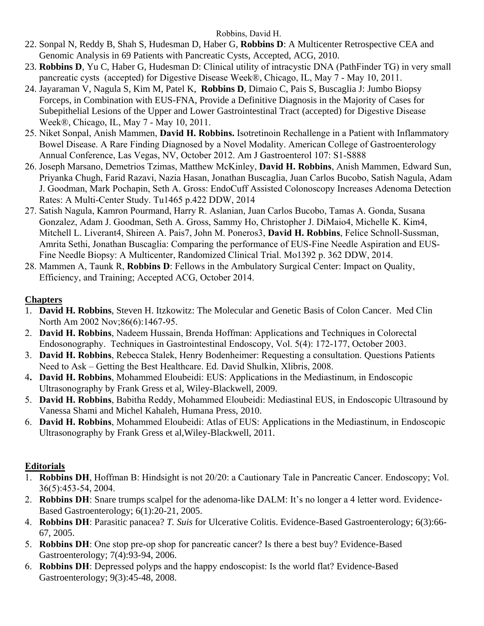- 22. Sonpal N, Reddy B, Shah S, Hudesman D, Haber G, **Robbins D**: A Multicenter Retrospective CEA and Genomic Analysis in 69 Patients with Pancreatic Cysts, Accepted, ACG, 2010.
- 23. **Robbins D**, Yu C, Haber G, Hudesman D: Clinical utility of intracystic DNA (PathFinder TG) in very small pancreatic cysts (accepted) for Digestive Disease Week®, Chicago, IL, May 7 - May 10, 2011.
- 24. Jayaraman V, Nagula S, Kim M, Patel K, **Robbins D**, Dimaio C, Pais S, Buscaglia J: Jumbo Biopsy Forceps, in Combination with EUS-FNA, Provide a Definitive Diagnosis in the Majority of Cases for Subepithelial Lesions of the Upper and Lower Gastrointestinal Tract (accepted) for Digestive Disease Week®, Chicago, IL, May 7 - May 10, 2011.
- 25. Niket Sonpal, Anish Mammen, **David H. Robbins.** Isotretinoin Rechallenge in a Patient with Inflammatory Bowel Disease. A Rare Finding Diagnosed by a Novel Modality. American College of Gastroenterology Annual Conference, Las Vegas, NV, October 2012. Am J Gastroenterol 107: S1-S888
- 26. Joseph Marsano, Demetrios Tzimas, Matthew McKinley, **David H. Robbins**, Anish Mammen, Edward Sun, Priyanka Chugh, Farid Razavi, Nazia Hasan, Jonathan Buscaglia, Juan Carlos Bucobo, Satish Nagula, Adam J. Goodman, Mark Pochapin, Seth A. Gross: EndoCuff Assisted Colonoscopy Increases Adenoma Detection Rates: A Multi-Center Study. Tu1465 p.422 DDW, 2014
- 27. Satish Nagula, Kamron Pourmand, Harry R. Aslanian, Juan Carlos Bucobo, Tamas A. Gonda, Susana Gonzalez, Adam J. Goodman, Seth A. Gross, Sammy Ho, Christopher J. DiMaio4, Michelle K. Kim4, Mitchell L. Liverant4, Shireen A. Pais7, John M. Poneros3, **David H. Robbins**, Felice Schnoll-Sussman, Amrita Sethi, Jonathan Buscaglia: Comparing the performance of EUS-Fine Needle Aspiration and EUS-Fine Needle Biopsy: A Multicenter, Randomized Clinical Trial. Mo1392 p. 362 DDW, 2014.
- 28. Mammen A, Taunk R, **Robbins D**: Fellows in the Ambulatory Surgical Center: Impact on Quality, Efficiency, and Training; Accepted ACG, October 2014.

## **Chapters**

- 1. **David H. Robbins**, Steven H. Itzkowitz: The Molecular and Genetic Basis of Colon Cancer. Med Clin North Am 2002 Nov;86(6):1467-95.
- 2. **David H. Robbins**, Nadeem Hussain, Brenda Hoffman: Applications and Techniques in Colorectal Endosonography. Techniques in Gastrointestinal Endoscopy, Vol. 5(4): 172-177, October 2003.
- 3. **David H. Robbins**, Rebecca Stalek, Henry Bodenheimer: Requesting a consultation. Questions Patients Need to Ask – Getting the Best Healthcare. Ed. David Shulkin, Xlibris, 2008.
- 4**. David H. Robbins**, Mohammed Eloubeidi: EUS: Applications in the Mediastinum, in Endoscopic Ultrasonography by Frank Gress et al, Wiley-Blackwell, 2009.
- 5. **David H. Robbins**, Babitha Reddy, Mohammed Eloubeidi: Mediastinal EUS, in Endoscopic Ultrasound by Vanessa Shami and Michel Kahaleh, Humana Press, 2010.
- 6. **David H. Robbins**, Mohammed Eloubeidi: Atlas of EUS: Applications in the Mediastinum, in Endoscopic Ultrasonography by Frank Gress et al,Wiley-Blackwell, 2011.

# **Editorials**

- 1. **Robbins DH**, Hoffman B: Hindsight is not 20/20: a Cautionary Tale in Pancreatic Cancer. Endoscopy; Vol. 36(5):453-54, 2004.
- 2. **Robbins DH**: Snare trumps scalpel for the adenoma-like DALM: It's no longer a 4 letter word. Evidence-Based Gastroenterology; 6(1):20-21, 2005.
- 4. **Robbins DH**: Parasitic panacea? *T. Suis* for Ulcerative Colitis. Evidence-Based Gastroenterology; 6(3):66- 67, 2005.
- 5. **Robbins DH**: One stop pre-op shop for pancreatic cancer? Is there a best buy? Evidence-Based Gastroenterology; 7(4):93-94, 2006.
- 6. **Robbins DH**: Depressed polyps and the happy endoscopist: Is the world flat? Evidence-Based Gastroenterology; 9(3):45-48, 2008.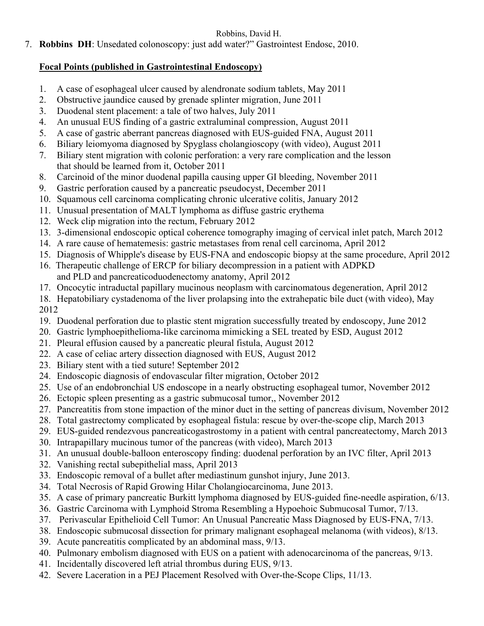7. **Robbins DH**: Unsedated colonoscopy: just add water?" Gastrointest Endosc, 2010.

## **Focal Points (published in Gastrointestinal Endoscopy)**

- 1. A case of esophageal ulcer caused by alendronate sodium tablets, May 2011
- 2. Obstructive jaundice caused by grenade splinter migration, June 2011
- 3. Duodenal stent placement: a tale of two halves, July 2011
- 4. An unusual EUS finding of a gastric extraluminal compression, August 2011
- 5. A case of gastric aberrant pancreas diagnosed with EUS-guided FNA, August 2011
- 6. Biliary leiomyoma diagnosed by Spyglass cholangioscopy (with video), August 2011
- 7. Biliary stent migration with colonic perforation: a very rare complication and the lesson that should be learned from it, October 2011
- 8. Carcinoid of the minor duodenal papilla causing upper GI bleeding, November 2011
- 9. Gastric perforation caused by a pancreatic pseudocyst, December 2011
- 10. Squamous cell carcinoma complicating chronic ulcerative colitis, January 2012
- 11. Unusual presentation of MALT lymphoma as diffuse gastric erythema
- 12. Weck clip migration into the rectum, February 2012
- 13. 3-dimensional endoscopic optical coherence tomography imaging of cervical inlet patch, March 2012
- 14. A rare cause of hematemesis: gastric metastases from renal cell carcinoma, April 2012
- 15. Diagnosis of Whipple's disease by EUS-FNA and endoscopic biopsy at the same procedure, April 2012
- 16. Therapeutic challenge of ERCP for biliary decompression in a patient with ADPKD and PLD and pancreaticoduodenectomy anatomy, April 2012
- 17. Oncocytic intraductal papillary mucinous neoplasm with carcinomatous degeneration, April 2012
- 18. Hepatobiliary cystadenoma of the liver prolapsing into the extrahepatic bile duct (with video), May 2012
- 19. Duodenal perforation due to plastic stent migration successfully treated by endoscopy, June 2012
- 20. Gastric lymphoepithelioma-like carcinoma mimicking a SEL treated by ESD, August 2012
- 21. Pleural effusion caused by a pancreatic pleural fistula, August 2012
- 22. A case of celiac artery dissection diagnosed with EUS, August 2012
- 23. Biliary stent with a tied suture! September 2012
- 24. Endoscopic diagnosis of endovascular filter migration, October 2012
- 25. Use of an endobronchial US endoscope in a nearly obstructing esophageal tumor, November 2012
- 26. Ectopic spleen presenting as a gastric submucosal tumor,, November 2012
- 27. Pancreatitis from stone impaction of the minor duct in the setting of pancreas divisum, November 2012
- 28. Total gastrectomy complicated by esophageal fistula: rescue by over-the-scope clip, March 2013
- 29. EUS-guided rendezvous pancreaticogastrostomy in a patient with central pancreatectomy, March 2013
- 30. Intrapapillary mucinous tumor of the pancreas (with video), March 2013
- 31. An unusual double-balloon enteroscopy finding: duodenal perforation by an IVC filter, April 2013
- 32. Vanishing rectal subepithelial mass, April 2013
- 33. Endoscopic removal of a bullet after mediastinum gunshot injury, June 2013.
- 34. Total Necrosis of Rapid Growing Hilar Cholangiocarcinoma, June 2013.
- 35. A case of primary pancreatic Burkitt lymphoma diagnosed by EUS-guided fine-needle aspiration, 6/13.
- 36. Gastric Carcinoma with Lymphoid Stroma Resembling a Hypoehoic Submucosal Tumor, 7/13.
- 37. Perivascular Epithelioid Cell Tumor: An Unusual Pancreatic Mass Diagnosed by EUS-FNA, 7/13.
- 38. Endoscopic submucosal dissection for primary malignant esophageal melanoma (with videos), 8/13.
- 39. Acute pancreatitis complicated by an abdominal mass, 9/13.
- 40. Pulmonary embolism diagnosed with EUS on a patient with adenocarcinoma of the pancreas, 9/13.
- 41. Incidentally discovered left atrial thrombus during EUS, 9/13.
- 42. Severe Laceration in a PEJ Placement Resolved with Over-the-Scope Clips, 11/13.